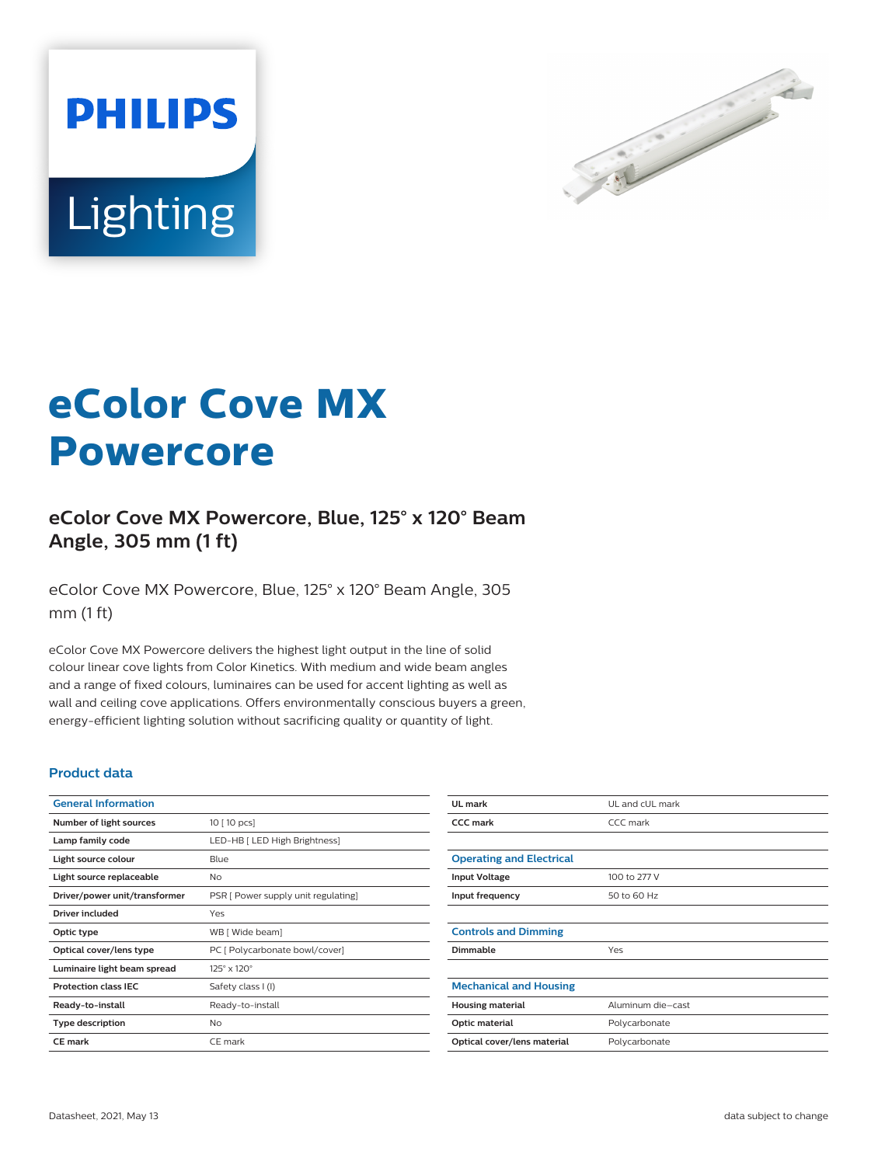



# **eColor Cove MX Powercore**

## **eColor Cove MX Powercore, Blue, 125° x 120° Beam Angle, 305 mm (1 ft)**

eColor Cove MX Powercore, Blue, 125° x 120° Beam Angle, 305 mm (1 ft)

eColor Cove MX Powercore delivers the highest light output in the line of solid colour linear cove lights from Color Kinetics. With medium and wide beam angles and a range of fixed colours, luminaires can be used for accent lighting as well as wall and ceiling cove applications. Offers environmentally conscious buyers a green, energy-efficient lighting solution without sacrificing quality or quantity of light.

#### **Product data**

| <b>General Information</b>    |                                     | UL mark                         | UL and cUL mark   |
|-------------------------------|-------------------------------------|---------------------------------|-------------------|
| Number of light sources       | 10 [ 10 pcs]                        | <b>CCC</b> mark                 | CCC mark          |
| Lamp family code              | LED-HB [ LED High Brightness]       |                                 |                   |
| Light source colour           | Blue                                | <b>Operating and Electrical</b> |                   |
| Light source replaceable      | <b>No</b>                           | <b>Input Voltage</b>            | 100 to 277 V      |
| Driver/power unit/transformer | PSR [ Power supply unit regulating] | Input frequency                 | 50 to 60 Hz       |
| Driver included               | Yes                                 |                                 |                   |
| Optic type                    | WB [ Wide beam]                     | <b>Controls and Dimming</b>     |                   |
| Optical cover/lens type       | PC [ Polycarbonate bowl/cover]      | Dimmable                        | Yes               |
| Luminaire light beam spread   | $125^{\circ} \times 120^{\circ}$    |                                 |                   |
| <b>Protection class IEC</b>   | Safety class I (I)                  | <b>Mechanical and Housing</b>   |                   |
| Ready-to-install              | Ready-to-install                    | <b>Housing material</b>         | Aluminum die-cast |
| <b>Type description</b>       | <b>No</b>                           | Optic material                  | Polycarbonate     |
| <b>CE mark</b>                | CE mark                             | Optical cover/lens material     | Polycarbonate     |
|                               |                                     |                                 |                   |